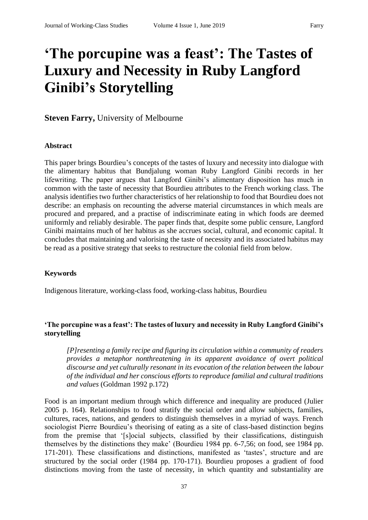# **'The porcupine was a feast': The Tastes of Luxury and Necessity in Ruby Langford Ginibi's Storytelling**

**Steven Farry,** University of Melbourne

#### **Abstract**

This paper brings Bourdieu's concepts of the tastes of luxury and necessity into dialogue with the alimentary habitus that Bundjalung woman Ruby Langford Ginibi records in her lifewriting. The paper argues that Langford Ginibi's alimentary disposition has much in common with the taste of necessity that Bourdieu attributes to the French working class. The analysis identifies two further characteristics of her relationship to food that Bourdieu does not describe: an emphasis on recounting the adverse material circumstances in which meals are procured and prepared, and a practise of indiscriminate eating in which foods are deemed uniformly and reliably desirable. The paper finds that, despite some public censure, Langford Ginibi maintains much of her habitus as she accrues social, cultural, and economic capital. It concludes that maintaining and valorising the taste of necessity and its associated habitus may be read as a positive strategy that seeks to restructure the colonial field from below.

#### **Keywords**

Indigenous literature, working-class food, working-class habitus, Bourdieu

## **'The porcupine was a feast': The tastes of luxury and necessity in Ruby Langford Ginibi's storytelling**

*[P]resenting a family recipe and figuring its circulation within a community of readers provides a metaphor nonthreatening in its apparent avoidance of overt political discourse and yet culturally resonant in its evocation of the relation between the labour of the individual and her conscious efforts to reproduce familial and cultural traditions and values* (Goldman 1992 p.172)

Food is an important medium through which difference and inequality are produced (Julier 2005 p. 164). Relationships to food stratify the social order and allow subjects, families, cultures, races, nations, and genders to distinguish themselves in a myriad of ways. French sociologist Pierre Bourdieu's theorising of eating as a site of class-based distinction begins from the premise that '[s]ocial subjects, classified by their classifications, distinguish themselves by the distinctions they make' (Bourdieu 1984 pp. 6-7,56; on food, see 1984 pp. 171-201). These classifications and distinctions, manifested as 'tastes', structure and are structured by the social order (1984 pp. 170-171). Bourdieu proposes a gradient of food distinctions moving from the taste of necessity, in which quantity and substantiality are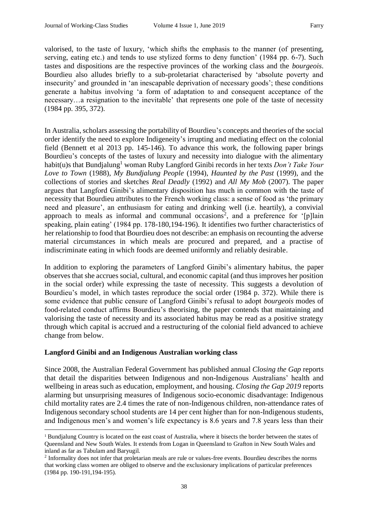valorised, to the taste of luxury, 'which shifts the emphasis to the manner (of presenting, serving, eating etc.) and tends to use stylized forms to deny function' (1984 pp. 6-7). Such tastes and dispositions are the respective provinces of the working class and the *bourgeois*. Bourdieu also alludes briefly to a sub-proletariat characterised by 'absolute poverty and insecurity' and grounded in 'an inescapable deprivation of necessary goods'; these conditions generate a habitus involving 'a form of adaptation to and consequent acceptance of the necessary…a resignation to the inevitable' that represents one pole of the taste of necessity (1984 pp. 395, 372).

In Australia, scholars assessing the portability of Bourdieu's concepts and theories of the social order identify the need to explore Indigeneity's irrupting and mediating effect on the colonial field (Bennett et al 2013 pp. 145-146). To advance this work, the following paper brings Bourdieu's concepts of the tastes of luxury and necessity into dialogue with the alimentary habit(u)s that Bundjalung<sup>1</sup> woman Ruby Langford Ginibi records in her texts *Don't Take Your Love to Town* (1988), *My Bundjalung People* (1994), *Haunted by the Past* (1999), and the collections of stories and sketches *Real Deadly* (1992) and *All My Mob* (2007). The paper argues that Langford Ginibi's alimentary disposition has much in common with the taste of necessity that Bourdieu attributes to the French working class: a sense of food as 'the primary need and pleasure', an enthusiasm for eating and drinking well (i.e. heartily), a convivial approach to meals as informal and communal occasions<sup>2</sup>, and a preference for '[p]lain speaking, plain eating' (1984 pp. 178-180,194-196). It identifies two further characteristics of her relationship to food that Bourdieu does not describe: an emphasis on recounting the adverse material circumstances in which meals are procured and prepared, and a practise of indiscriminate eating in which foods are deemed uniformly and reliably desirable.

In addition to exploring the parameters of Langford Ginibi's alimentary habitus, the paper observes that she accrues social, cultural, and economic capital (and thus improves her position in the social order) while expressing the taste of necessity. This suggests a devolution of Bourdieu's model, in which tastes reproduce the social order (1984 p. 372). While there is some evidence that public censure of Langford Ginibi's refusal to adopt *bourgeois* modes of food-related conduct affirms Bourdieu's theorising, the paper contends that maintaining and valorising the taste of necessity and its associated habitus may be read as a positive strategy through which capital is accrued and a restructuring of the colonial field advanced to achieve change from below.

## **Langford Ginibi and an Indigenous Australian working class**

1

Since 2008, the Australian Federal Government has published annual *Closing the Gap* reports that detail the disparities between Indigenous and non-Indigenous Australians' health and wellbeing in areas such as education, employment, and housing. *Closing the Gap 2019* reports alarming but unsurprising measures of Indigenous socio-economic disadvantage: Indigenous child mortality rates are 2.4 times the rate of non-Indigenous children, non-attendance rates of Indigenous secondary school students are 14 per cent higher than for non-Indigenous students, and Indigenous men's and women's life expectancy is 8.6 years and 7.8 years less than their

<sup>1</sup> Bundjalung Country is located on the east coast of Australia, where it bisects the border between the states of Queensland and New South Wales. It extends from Logan in Queensland to Grafton in New South Wales and inland as far as Tabulam and Baryugil.

<sup>&</sup>lt;sup>2</sup> Informality does not infer that proletarian meals are rule or values-free events. Bourdieu describes the norms that working class women are obliged to observe and the exclusionary implications of particular preferences (1984 pp. 190-191,194-195).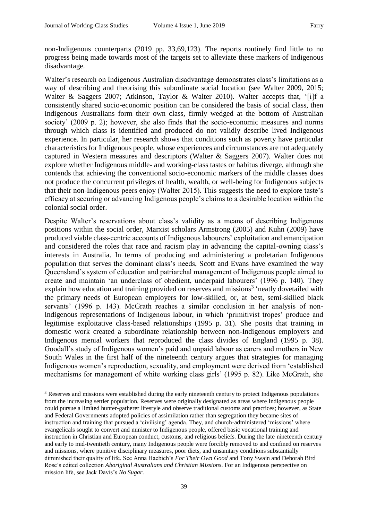1

non-Indigenous counterparts (2019 pp. 33,69,123). The reports routinely find little to no progress being made towards most of the targets set to alleviate these markers of Indigenous disadvantage.

Walter's research on Indigenous Australian disadvantage demonstrates class's limitations as a way of describing and theorising this subordinate social location (see Walter 2009, 2015; Walter & Saggers 2007; Atkinson, Taylor & Walter 2010). Walter accepts that, '[i]f a consistently shared socio-economic position can be considered the basis of social class, then Indigenous Australians form their own class, firmly wedged at the bottom of Australian society' (2009 p. 2); however, she also finds that the socio-economic measures and norms through which class is identified and produced do not validly describe lived Indigenous experience. In particular, her research shows that conditions such as poverty have particular characteristics for Indigenous people, whose experiences and circumstances are not adequately captured in Western measures and descriptors (Walter & Saggers 2007). Walter does not explore whether Indigenous middle- and working-class tastes or habitus diverge, although she contends that achieving the conventional socio-economic markers of the middle classes does not produce the concurrent privileges of health, wealth, or well-being for Indigenous subjects that their non-Indigenous peers enjoy (Walter 2015). This suggests the need to explore taste's efficacy at securing or advancing Indigenous people's claims to a desirable location within the colonial social order.

Despite Walter's reservations about class's validity as a means of describing Indigenous positions within the social order, Marxist scholars Armstrong (2005) and Kuhn (2009) have produced viable class-centric accounts of Indigenous labourers' exploitation and emancipation and considered the roles that race and racism play in advancing the capital-owning class's interests in Australia. In terms of producing and administering a proletarian Indigenous population that serves the dominant class's needs, Scott and Evans have examined the way Queensland's system of education and patriarchal management of Indigenous people aimed to create and maintain 'an underclass of obedient, underpaid labourers' (1996 p. 140). They explain how education and training provided on reserves and missions<sup>3</sup> 'neatly dovetailed with the primary needs of European employers for low-skilled, or, at best, semi-skilled black servants' (1996 p. 143). McGrath reaches a similar conclusion in her analysis of non-Indigenous representations of Indigenous labour, in which 'primitivist tropes' produce and legitimise exploitative class-based relationships (1995 p. 31). She posits that training in domestic work created a subordinate relationship between non-Indigenous employers and Indigenous menial workers that reproduced the class divides of England (1995 p. 38). Goodall's study of Indigenous women's paid and unpaid labour as carers and mothers in New South Wales in the first half of the nineteenth century argues that strategies for managing Indigenous women's reproduction, sexuality, and employment were derived from 'established mechanisms for management of white working class girls' (1995 p. 82). Like McGrath, she

<sup>3</sup> Reserves and missions were established during the early nineteenth century to protect Indigenous populations from the increasing settler population. Reserves were originally designated as areas where Indigenous people could pursue a limited hunter-gatherer lifestyle and observe traditional customs and practices; however, as State and Federal Governments adopted policies of assimilation rather than segregation they became sites of instruction and training that pursued a 'civilising' agenda. They, and church-administered 'missions' where evangelicals sought to convert and minister to Indigenous people, offered basic vocational training and instruction in Christian and European conduct, customs, and religious beliefs. During the late nineteenth century and early to mid-twentieth century, many Indigenous people were forcibly removed to and confined on reserves and missions, where punitive disciplinary measures, poor diets, and unsanitary conditions substantially diminished their quality of life. See Anna Haebich's *For Their Own Good* and Tony Swain and Deborah Bird Rose's edited collection *Aboriginal Australians and Christian Missions*. For an Indigenous perspective on mission life, see Jack Davis's *No Sugar*.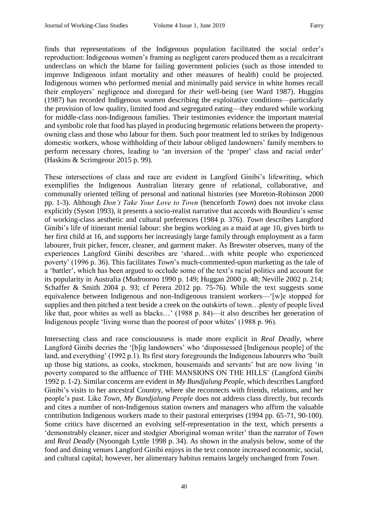finds that representations of the Indigenous population facilitated the social order's reproduction: Indigenous women's framing as negligent carers produced them as a recalcitrant underclass on which the blame for failing government policies (such as those intended to improve Indigenous infant mortality and other measures of health) could be projected. Indigenous women who performed menial and minimally paid service in white homes recall their employers' negligence and disregard for *their* well-being (see Ward 1987). Huggins (1987) has recorded Indigenous women describing the exploitative conditions—particularly the provision of low quality, limited food and segregated eating—they endured while working for middle-class non-Indigenous families. Their testimonies evidence the important material and symbolic role that food has played in producing hegemonic relations between the propertyowning class and those who labour for them. Such poor treatment led to strikes by Indigenous domestic workers, whose withholding of their labour obliged landowners' family members to perform necessary chores, leading to 'an inversion of the 'proper' class and racial order' (Haskins & Scrimgeour 2015 p. 99).

These intersections of class and race are evident in Langford Ginibi's lifewriting, which exemplifies the Indigenous Australian literary genre of relational, collaborative, and communally oriented telling of personal and national histories (see Moreton-Robinson 2000 pp. 1-3). Although *Don't Take Your Love to Town* (henceforth *Town*) does not invoke class explicitly (Syson 1993), it presents a socio-realist narrative that accords with Bourdieu's sense of working-class aesthetic and cultural preferences (1984 p. 376). *Town* describes Langford Ginibi's life of itinerant menial labour: she begins working as a maid at age 10, gives birth to her first child at 16, and supports her increasingly large family through employment as a farm labourer, fruit picker, fencer, cleaner, and garment maker. As Brewster observes, many of the experiences Langford Ginibi describes are 'shared…with white people who experienced poverty' (1996 p. 36). This facilitates *Town*'s much-commented-upon marketing as the tale of a 'battler', which has been argued to occlude some of the text's racial politics and account for its popularity in Australia (Mudrooroo 1990 p. 149; Huggan 2000 p. 48; Neville 2002 p. 214; Schaffer & Smith 2004 p. 93; cf Perera 2012 pp. 75-76). While the text suggests some equivalence between Indigenous and non-Indigenous transient workers—'[w]e stopped for supplies and then pitched a tent beside a creek on the outskirts of town…plenty of people lived like that, poor whites as well as blacks…' (1988 p. 84)—it also describes her generation of Indigenous people 'living worse than the poorest of poor whites' (1988 p. 96).

Intersecting class and race consciousness is made more explicit in *Real Deadly*, where Langford Ginibi decries the '[b]ig landowners' who 'dispossessed [Indigenous people] of the land, and everything' (1992 p.1). Its first story foregrounds the Indigenous labourers who 'built up those big stations, as cooks, stockmen, housemaids and servants' but are now living 'in poverty compared to the affluence of THE MANSIONS ON THE HILLS' (Langford Ginibi 1992 p. 1-2). Similar concerns are evident in *My Bundjalung People*, which describes Langford Ginibi's visits to her ancestral Country, where she reconnects with friends, relations, and her people's past. Like *Town*, *My Bundjalung People* does not address class directly, but records and cites a number of non-Indigenous station owners and managers who affirm the valuable contribution Indigenous workers made to their pastoral enterprises (1994 pp. 65-71, 90-100). Some critics have discerned an evolving self-representation in the text, which presents a 'demonstrably cleaner, nicer and stodgier Aboriginal woman writer' than the narrator of *Town*  and *Real Deadly* (Nyoongah Lyttle 1998 p. 34). As shown in the analysis below, some of the food and dining venues Langford Ginibi enjoys in the text connote increased economic, social, and cultural capital; however, her alimentary habitus remains largely unchanged from *Town*.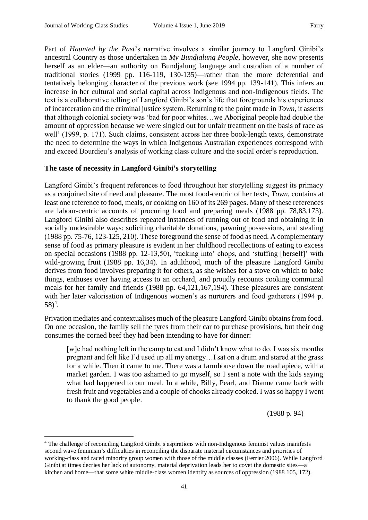1

Part of *Haunted by the Past*'s narrative involves a similar journey to Langford Ginibi's ancestral Country as those undertaken in *My Bundjalung People*, however, she now presents herself as an elder—an authority on Bundjalung language and custodian of a number of traditional stories (1999 pp. 116-119, 130-135)—rather than the more deferential and tentatively belonging character of the previous work (see 1994 pp. 139-141). This infers an increase in her cultural and social capital across Indigenous and non-Indigenous fields. The text is a collaborative telling of Langford Ginibi's son's life that foregrounds his experiences of incarceration and the criminal justice system. Returning to the point made in *Town*, it asserts that although colonial society was 'bad for poor whites…we Aboriginal people had double the amount of oppression because we were singled out for unfair treatment on the basis of race as well' (1999, p. 171). Such claims, consistent across her three book-length texts, demonstrate the need to determine the ways in which Indigenous Australian experiences correspond with and exceed Bourdieu's analysis of working class culture and the social order's reproduction.

## **The taste of necessity in Langford Ginibi's storytelling**

Langford Ginibi's frequent references to food throughout her storytelling suggest its primacy as a conjoined site of need and pleasure. The most food-centric of her texts, *Town*, contains at least one reference to food, meals, or cooking on 160 of its 269 pages. Many of these references are labour-centric accounts of procuring food and preparing meals (1988 pp. 78,83,173). Langford Ginibi also describes repeated instances of running out of food and obtaining it in socially undesirable ways: soliciting charitable donations, pawning possessions, and stealing (1988 pp. 75-76, 123-125, 210). These foreground the sense of food as need. A complementary sense of food as primary pleasure is evident in her childhood recollections of eating to excess on special occasions (1988 pp. 12-13,50), 'tucking into' chops, and 'stuffing [herself]' with wild-growing fruit (1988 pp. 16,34). In adulthood, much of the pleasure Langford Ginibi derives from food involves preparing it for others, as she wishes for a stove on which to bake things, enthuses over having access to an orchard, and proudly recounts cooking communal meals for her family and friends (1988 pp. 64,121,167,194). These pleasures are consistent with her later valorisation of Indigenous women's as nurturers and food gatherers (1994 p.  $58)^4$ .

Privation mediates and contextualises much of the pleasure Langford Ginibi obtains from food. On one occasion, the family sell the tyres from their car to purchase provisions, but their dog consumes the corned beef they had been intending to have for dinner:

[w]e had nothing left in the camp to eat and I didn't know what to do. I was six months pregnant and felt like I'd used up all my energy…I sat on a drum and stared at the grass for a while. Then it came to me. There was a farmhouse down the road apiece, with a market garden. I was too ashamed to go myself, so I sent a note with the kids saying what had happened to our meal. In a while, Billy, Pearl, and Dianne came back with fresh fruit and vegetables and a couple of chooks already cooked. I was so happy I went to thank the good people.

(1988 p. 94)

<sup>4</sup> The challenge of reconciling Langford Ginibi's aspirations with non-Indigenous feminist values manifests second wave feminism's difficulties in reconciling the disparate material circumstances and priorities of working-class and raced minority group women with those of the middle classes (Ferrier 2006). While Langford Ginibi at times decries her lack of autonomy, material deprivation leads her to covet the domestic sites—a kitchen and home—that some white middle-class women identify as sources of oppression (1988 105, 172).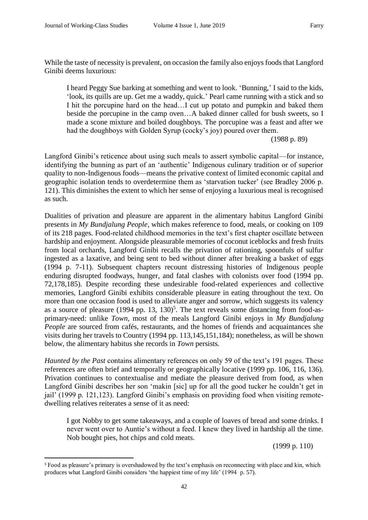.

While the taste of necessity is prevalent, on occasion the family also enjoys foods that Langford Ginibi deems luxurious:

I heard Peggy Sue barking at something and went to look. 'Bunning,' I said to the kids, 'look, its quills are up. Get me a waddy, quick.' Pearl came running with a stick and so I hit the porcupine hard on the head…I cut up potato and pumpkin and baked them beside the porcupine in the camp oven…A baked dinner called for bush sweets, so I made a scone mixture and boiled doughboys. The porcupine was a feast and after we had the doughboys with Golden Syrup (cocky's joy) poured over them.

(1988 p. 89)

Langford Ginibi's reticence about using such meals to assert symbolic capital—for instance, identifying the bunning as part of an 'authentic' Indigenous culinary tradition or of superior quality to non-Indigenous foods—means the privative context of limited economic capital and geographic isolation tends to overdetermine them as 'starvation tucker' (see Bradley 2006 p. 121). This diminishes the extent to which her sense of enjoying a luxurious meal is recognised as such.

Dualities of privation and pleasure are apparent in the alimentary habitus Langford Ginibi presents in *My Bundjalung People*, which makes reference to food, meals, or cooking on 109 of its 218 pages. Food-related childhood memories in the text's first chapter oscillate between hardship and enjoyment. Alongside pleasurable memories of coconut iceblocks and fresh fruits from local orchards, Langford Ginibi recalls the privation of rationing, spoonfuls of sulfur ingested as a laxative, and being sent to bed without dinner after breaking a basket of eggs (1994 p. 7-11). Subsequent chapters recount distressing histories of Indigenous people enduring disrupted foodways, hunger, and fatal clashes with colonists over food (1994 pp. 72,178,185). Despite recording these undesirable food-related experiences and collective memories, Langford Ginibi exhibits considerable pleasure in eating throughout the text. On more than one occasion food is used to alleviate anger and sorrow, which suggests its valency as a source of pleasure  $(1994 \text{ pp. } 13, 130)^5$ . The text reveals some distancing from food-asprimary-need: unlike *Town*, most of the meals Langford Ginibi enjoys in *My Bundjalung People* are sourced from cafés, restaurants, and the homes of friends and acquaintances she visits during her travels to Country (1994 pp. 113,145,151,184); nonetheless, as will be shown below, the alimentary habitus she records in *Town* persists.

*Haunted by the Past* contains alimentary references on only 59 of the text's 191 pages. These references are often brief and temporally or geographically locative (1999 pp. 106, 116, 136). Privation continues to contextualise and mediate the pleasure derived from food, as when Langford Ginibi describes her son 'makin [sic] up for all the good tucker he couldn't get in jail' (1999 p. 121,123). Langford Ginibi's emphasis on providing food when visiting remotedwelling relatives reiterates a sense of it as need:

I got Nobby to get some takeaways, and a couple of loaves of bread and some drinks. I never went over to Auntie's without a feed. I knew they lived in hardship all the time. Nob bought pies, hot chips and cold meats.

(1999 p. 110)

<sup>5</sup>Food as pleasure's primary is overshadowed by the text's emphasis on reconnecting with place and kin, which produces what Langford Ginibi considers 'the happiest time of my life' (1994 p. 57).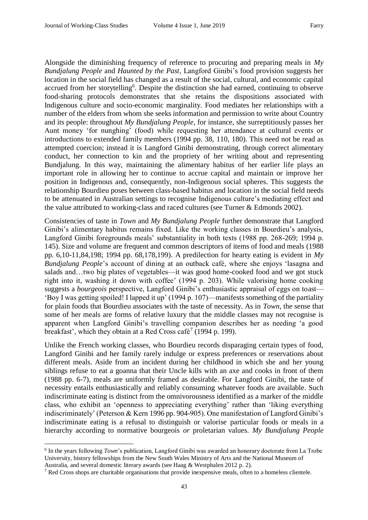Alongside the diminishing frequency of reference to procuring and preparing meals in *My Bundjalung People* and *Haunted by the Past*, Langford Ginibi's food provision suggests her location in the social field has changed as a result of the social, cultural, and economic capital accrued from her storytelling<sup>6</sup>. Despite the distinction she had earned, continuing to observe food-sharing protocols demonstrates that she retains the dispositions associated with Indigenous culture and socio-economic marginality. Food mediates her relationships with a number of the elders from whom she seeks information and permission to write about Country and its people: throughout *My Bundjalung People*, for instance, she surreptitiously passes her Aunt money 'for nunghing' (food) while requesting her attendance at cultural events or introductions to extended family members (1994 pp. 38, 110, 180). This need not be read as attempted coercion; instead it is Langford Ginibi demonstrating, through correct alimentary conduct, her connection to kin and the propriety of her writing about and representing Bundjalung. In this way, maintaining the alimentary habitus of her earlier life plays an important role in allowing her to continue to accrue capital and maintain or improve her position in Indigenous and, consequently, non-Indigenous social spheres. This suggests the relationship Bourdieu poses between class-based habitus and location in the social field needs to be attenuated in Australian settings to recognise Indigenous culture's mediating effect and the value attributed to working-class and raced cultures (see Turner & Edmonds 2002).

Consistencies of taste in *Town* and *My Bundjalung People* further demonstrate that Langford Ginibi's alimentary habitus remains fixed. Like the working classes in Bourdieu's analysis, Langford Ginibi foregrounds meals' substantiality in both texts (1988 pp. 268-269; 1994 p. 145). Size and volume are frequent and common descriptors of items of food and meals (1988 pp. 6,10-11,84,198; 1994 pp. 68,178,199). A predilection for hearty eating is evident in *My Bundjalung People*'s account of dining at an outback café, where she enjoys 'lasagna and salads and…two big plates of vegetables—it was good home-cooked food and we got stuck right into it, washing it down with coffee' (1994 p. 203). While valorising home cooking suggests a *bourgeois* perspective, Langford Ginibi's enthusiastic appraisal of eggs on toast— 'Boy I was getting spoiled! I lapped it up' (1994 p. 107)—manifests something of the partiality for plain foods that Bourdieu associates with the taste of necessity. As in *Town*, the sense that some of her meals are forms of relative luxury that the middle classes may not recognise is apparent when Langford Ginibi's travelling companion describes her as needing 'a good breakfast', which they obtain at a Red Cross café<sup>7</sup> (1994 p. 199).

Unlike the French working classes, who Bourdieu records disparaging certain types of food, Langford Ginibi and her family rarely indulge or express preferences or reservations about different meals. Aside from an incident during her childhood in which she and her young siblings refuse to eat a goanna that their Uncle kills with an axe and cooks in front of them (1988 pp. 6-7), meals are uniformly framed as desirable. For Langford Ginibi, the taste of necessity entails enthusiastically and reliably consuming whatever foods are available. Such indiscriminate eating is distinct from the omnivorousness identified as a marker of the middle class, who exhibit an 'openness to appreciating everything' rather than 'liking everything indiscriminately' (Peterson & Kern 1996 pp. 904-905). One manifestation of Langford Ginibi's indiscriminate eating is a refusal to distinguish or valorise particular foods or meals in a hierarchy according to normative bourgeois *or* proletarian values. *My Bundjalung People* 

1

<sup>&</sup>lt;sup>6</sup> In the years following *Town*'s publication, Langford Ginibi was awarded an honorary doctorate from La Trobe University, history fellowships from the New South Wales Ministry of Arts and the National Museum of

Australia, and several domestic literary awards (see Haag & Westphalen 2012 p. 2).

<sup>7</sup> Red Cross shops are charitable organisations that provide inexpensive meals, often to a homeless clientele.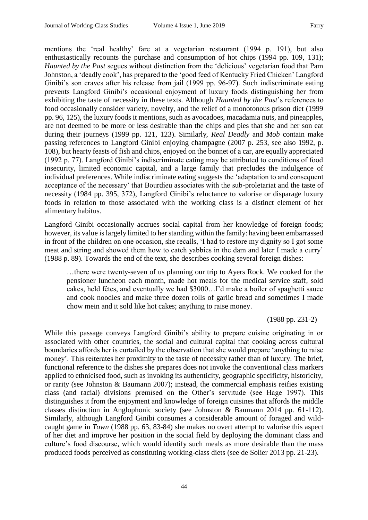mentions the 'real healthy' fare at a vegetarian restaurant (1994 p. 191), but also enthusiastically recounts the purchase and consumption of hot chips (1994 pp. 109, 131); *Haunted by the Past* segues without distinction from the 'delicious' vegetarian food that Pam Johnston, a 'deadly cook', has prepared to the 'good feed of Kentucky Fried Chicken' Langford Ginibi's son craves after his release from jail (1999 pp. 96-97). Such indiscriminate eating prevents Langford Ginibi's occasional enjoyment of luxury foods distinguishing her from exhibiting the taste of necessity in these texts. Although *Haunted by the Past*'s references to food occasionally consider variety, novelty, and the relief of a monotonous prison diet (1999 pp. 96, 125), the luxury foods it mentions, such as avocadoes, macadamia nuts, and pineapples, are not deemed to be more or less desirable than the chips and pies that she and her son eat during their journeys (1999 pp. 121, 123). Similarly, *Real Deadly* and *Mob* contain make passing references to Langford Ginibi enjoying champagne (2007 p. 253, see also 1992, p. 108), but hearty feasts of fish and chips, enjoyed on the bonnet of a car, are equally appreciated (1992 p. 77). Langford Ginibi's indiscriminate eating may be attributed to conditions of food insecurity, limited economic capital, and a large family that precludes the indulgence of individual preferences. While indiscriminate eating suggests the 'adaptation to and consequent acceptance of the necessary' that Bourdieu associates with the sub-proletariat and the taste of necessity (1984 pp. 395, 372), Langford Ginibi's reluctance to valorise or disparage luxury foods in relation to those associated with the working class is a distinct element of her alimentary habitus.

Langford Ginibi occasionally accrues social capital from her knowledge of foreign foods; however, its value is largely limited to her standing within the family: having been embarrassed in front of the children on one occasion, she recalls, 'I had to restore my dignity so I got some meat and string and showed them how to catch yabbies in the dam and later I made a curry' (1988 p. 89). Towards the end of the text, she describes cooking several foreign dishes:

…there were twenty-seven of us planning our trip to Ayers Rock. We cooked for the pensioner luncheon each month, made hot meals for the medical service staff, sold cakes, held fêtes, and eventually we had \$3000…I'd make a boiler of spaghetti sauce and cook noodles and make three dozen rolls of garlic bread and sometimes I made chow mein and it sold like hot cakes; anything to raise money.

(1988 pp. 231-2)

While this passage conveys Langford Ginibi's ability to prepare cuisine originating in or associated with other countries, the social and cultural capital that cooking across cultural boundaries affords her is curtailed by the observation that she would prepare 'anything to raise money'. This reiterates her proximity to the taste of necessity rather than of luxury. The brief, functional reference to the dishes she prepares does not invoke the conventional class markers applied to ethnicised food, such as invoking its authenticity, geographic specificity, historicity, or rarity (see Johnston & Baumann 2007); instead, the commercial emphasis reifies existing class (and racial) divisions premised on the Other's servitude (see Hage 1997). This distinguishes it from the enjoyment and knowledge of foreign cuisines that affords the middle classes distinction in Anglophonic society (see Johnston & Baumann 2014 pp. 61-112). Similarly, although Langford Ginibi consumes a considerable amount of foraged and wildcaught game in *Town* (1988 pp. 63, 83-84) she makes no overt attempt to valorise this aspect of her diet and improve her position in the social field by deploying the dominant class and culture's food discourse, which would identify such meals as more desirable than the mass produced foods perceived as constituting working-class diets (see de Solier 2013 pp. 21-23).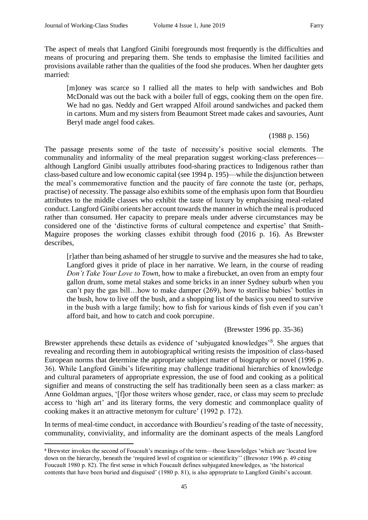1

The aspect of meals that Langford Ginibi foregrounds most frequently is the difficulties and means of procuring and preparing them. She tends to emphasise the limited facilities and provisions available rather than the qualities of the food she produces. When her daughter gets married:

[m]oney was scarce so I rallied all the mates to help with sandwiches and Bob McDonald was out the back with a boiler full of eggs, cooking them on the open fire. We had no gas. Neddy and Gert wrapped Alfoil around sandwiches and packed them in cartons. Mum and my sisters from Beaumont Street made cakes and savouries, Aunt Beryl made angel food cakes.

## (1988 p. 156)

The passage presents some of the taste of necessity's positive social elements. The communality and informality of the meal preparation suggest working-class preferences although Langford Ginibi usually attributes food-sharing practices to Indigenous rather than class-based culture and low economic capital (see 1994 p. 195)—while the disjunction between the meal's commemorative function and the paucity of fare connote the taste (or, perhaps, practise) of necessity. The passage also exhibits some of the emphasis upon form that Bourdieu attributes to the middle classes who exhibit the taste of luxury by emphasising meal-related conduct. Langford Ginibi orients her account towards the manner in which the meal is produced rather than consumed. Her capacity to prepare meals under adverse circumstances may be considered one of the 'distinctive forms of cultural competence and expertise' that Smith-Maguire proposes the working classes exhibit through food (2016 p. 16). As Brewster describes,

[r]ather than being ashamed of her struggle to survive and the measures she had to take, Langford gives it pride of place in her narrative. We learn, in the course of reading *Don't Take Your Love to Town*, how to make a firebucket, an oven from an empty four gallon drum, some metal stakes and some bricks in an inner Sydney suburb when you can't pay the gas bill…how to make damper (269), how to sterilise babies' bottles in the bush, how to live off the bush, and a shopping list of the basics you need to survive in the bush with a large family; how to fish for various kinds of fish even if you can't afford bait, and how to catch and cook porcupine.

(Brewster 1996 pp. 35-36)

Brewster apprehends these details as evidence of 'subjugated knowledges'<sup>8</sup>. She argues that revealing and recording them in autobiographical writing resists the imposition of class-based European norms that determine the appropriate subject matter of biography or novel (1996 p. 36). While Langford Ginibi's lifewriting may challenge traditional hierarchies of knowledge and cultural parameters of appropriate expression, the use of food and cooking as a political signifier and means of constructing the self has traditionally been seen as a class marker: as Anne Goldman argues, '[f]or those writers whose gender, race, or class may seem to preclude access to 'high art' and its literary forms, the very domestic and commonplace quality of cooking makes it an attractive metonym for culture' (1992 p. 172).

In terms of meal-time conduct, in accordance with Bourdieu's reading of the taste of necessity, communality, conviviality, and informality are the dominant aspects of the meals Langford

<sup>8</sup> Brewster invokes the second of Foucault's meanings of the term—those knowledges 'which are 'located low down on the hierarchy, beneath the 'required level of cognition or scientificity'' (Brewster 1996 p. 49 citing Foucault 1980 p. 82). The first sense in which Foucault defines subjugated knowledges, as 'the historical contents that have been buried and disguised' (1980 p. 81), is also appropriate to Langford Ginibi's account.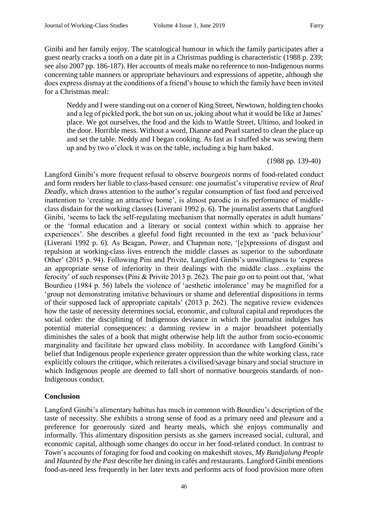Ginibi and her family enjoy. The scatological humour in which the family participates after a guest nearly cracks a tooth on a date pit in a Christmas pudding is characteristic (1988 p. 239; see also 2007 pp. 186-187). Her accounts of meals make no reference to non-Indigenous norms concerning table manners or appropriate behaviours and expressions of appetite, although she does express dismay at the conditions of a friend's house to which the family have been invited for a Christmas meal:

Neddy and I were standing out on a corner of King Street, Newtown, holding ten chooks and a leg of pickled pork, the hot sun on us, joking about what it would be like at James' place. We got ourselves, the food and the kids to Wattle Street, Ultimo, and looked in the door. Horrible mess. Without a word, Dianne and Pearl started to clean the place up and set the table. Neddy and I began cooking. As fast as I stuffed she was sewing them up and by two o'clock it was on the table, including a big ham baked.

(1988 pp. 139-40)

Langford Ginibi's more frequent refusal to observe *bourgeois* norms of food-related conduct and form renders her liable to class-based censure: one journalist's vituperative review of *Real Deadly*, which draws attention to the author's regular consumption of fast food and perceived inattention to 'creating an attractive home', is almost parodic in its performance of middleclass disdain for the working classes (Liverani 1992 p. 6). The journalist asserts that Langford Ginibi, 'seems to lack the self-regulating mechanism that normally operates in adult humans' or the 'formal education and a literary or social context within which to appraise her experiences'. She describes a gleeful food fight recounted in the text as 'pack behaviour' (Liverani 1992 p. 6). As Beagan, Power, and Chapman note, '[e]xpressions of disgust and repulsion at working-class lives entrench the middle classes as superior to the subordinate Other' (2015 p. 94). Following Pini and Privite, Langford Ginibi's unwillingness to 'express an appropriate sense of inferiority in their dealings with the middle class…explains the ferocity' of such responses (Pini & Privite 2013 p. 262). The pair go on to point out that, 'what Bourdieu (1984 p. 56) labels the violence of 'aesthetic intolerance' may be magnified for a 'group not demonstrating imitative behaviours or shame and deferential dispositions in terms of their supposed lack of appropriate capitals' (2013 p. 262). The negative review evidences how the taste of necessity determines social, economic, and cultural capital and reproduces the social order: the disciplining of Indigenous deviance in which the journalist indulges has potential material consequences: a damning review in a major broadsheet potentially diminishes the sales of a book that might otherwise help lift the author from socio-economic marginality and facilitate her upward class mobility. In accordance with Langford Ginibi's belief that Indigenous people experience greater oppression than the white working class, race explicitly colours the critique, which reiterates a civilised/savage binary and social structure in which Indigenous people are deemed to fall short of normative bourgeois standards of non-Indigenous conduct.

# **Conclusion**

Langford Ginibi's alimentary habitus has much in common with Bourdieu's description of the taste of necessity. She exhibits a strong sense of food as a primary need and pleasure and a preference for generously sized and hearty meals, which she enjoys communally and informally. This alimentary disposition persists as she garners increased social, cultural, and economic capital, although some changes do occur in her food-related conduct. In contrast to *Town*'s accounts of foraging for food and cooking on makeshift stoves, *My Bundjalung People*  and *Haunted by the Past* describe her dining in cafés and restaurants. Langford Ginibi mentions food-as-need less frequently in her later texts and performs acts of food provision more often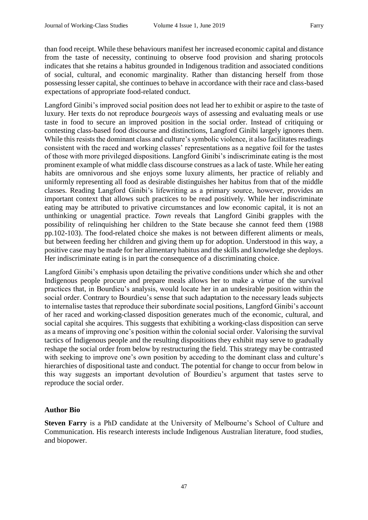than food receipt. While these behaviours manifest her increased economic capital and distance from the taste of necessity, continuing to observe food provision and sharing protocols indicates that she retains a habitus grounded in Indigenous tradition and associated conditions of social, cultural, and economic marginality. Rather than distancing herself from those possessing lesser capital, she continues to behave in accordance with their race and class-based expectations of appropriate food-related conduct.

Langford Ginibi's improved social position does not lead her to exhibit or aspire to the taste of luxury. Her texts do not reproduce *bourgeois* ways of assessing and evaluating meals or use taste in food to secure an improved position in the social order. Instead of critiquing or contesting class-based food discourse and distinctions, Langford Ginibi largely ignores them. While this resists the dominant class and culture's symbolic violence, it also facilitates readings consistent with the raced and working classes' representations as a negative foil for the tastes of those with more privileged dispositions. Langford Ginibi's indiscriminate eating is the most prominent example of what middle class discourse construes as a lack of taste. While her eating habits are omnivorous and she enjoys some luxury aliments, her practice of reliably and uniformly representing all food as desirable distinguishes her habitus from that of the middle classes. Reading Langford Ginibi's lifewriting as a primary source, however, provides an important context that allows such practices to be read positively. While her indiscriminate eating may be attributed to privative circumstances and low economic capital, it is not an unthinking or unagential practice. *Town* reveals that Langford Ginibi grapples with the possibility of relinquishing her children to the State because she cannot feed them (1988 pp.102-103). The food-related choice she makes is not between different aliments or meals, but between feeding her children and giving them up for adoption. Understood in this way, a positive case may be made for her alimentary habitus and the skills and knowledge she deploys. Her indiscriminate eating is in part the consequence of a discriminating choice.

Langford Ginibi's emphasis upon detailing the privative conditions under which she and other Indigenous people procure and prepare meals allows her to make a virtue of the survival practices that, in Bourdieu's analysis, would locate her in an undesirable position within the social order. Contrary to Bourdieu's sense that such adaptation to the necessary leads subjects to internalise tastes that reproduce their subordinate social positions, Langford Ginibi's account of her raced and working-classed disposition generates much of the economic, cultural, and social capital she acquires. This suggests that exhibiting a working-class disposition can serve as a means of improving one's position within the colonial social order. Valorising the survival tactics of Indigenous people and the resulting dispositions they exhibit may serve to gradually reshape the social order from below by restructuring the field. This strategy may be contrasted with seeking to improve one's own position by acceding to the dominant class and culture's hierarchies of dispositional taste and conduct. The potential for change to occur from below in this way suggests an important devolution of Bourdieu's argument that tastes serve to reproduce the social order.

# **Author Bio**

**Steven Farry** is a PhD candidate at the University of Melbourne's School of Culture and Communication. His research interests include Indigenous Australian literature, food studies, and biopower.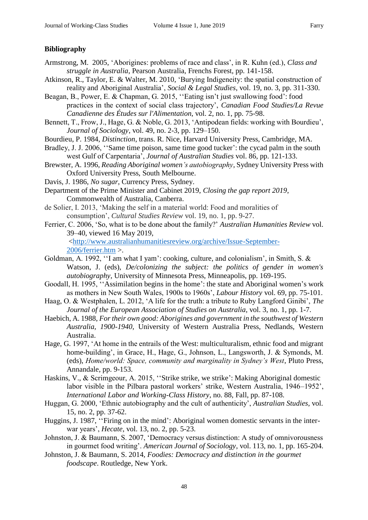#### **Bibliography**

- Armstrong, M. 2005, 'Aborigines: problems of race and class', in R. Kuhn (ed.), *Class and struggle in Australia*, Pearson Australia, Frenchs Forest, pp. 141-158.
- Atkinson, R., Taylor, E. & Walter, M. 2010, 'Burying Indigeneity: the spatial construction of reality and Aboriginal Australia', *Social & Legal Studies*, vol. 19, no. 3, pp. 311-330.
- Beagan, B., Power, E. & Chapman, G. 2015, ''Eating isn't just swallowing food': food practices in the context of social class trajectory', *Canadian Food Studies/La Revue Canadienne des Études sur l'Alimentation*, vol. 2, no. 1, pp. 75-98.
- Bennett, T., Frow, J., Hage, G. & Noble, G. 2013, 'Antipodean fields: working with Bourdieu', *Journal of Sociology*, vol. 49, no. 2-3, pp. 129–150.
- Bourdieu, P. 1984, *Distinction*, trans. R. Nice, Harvard University Press, Cambridge, MA.
- Bradley, J. J. 2006, "Same time poison, same time good tucker": the cycad palm in the south west Gulf of Carpentaria', *Journal of Australian Studies* vol. 86, pp. 121-133.
- Brewster, A. 1996, *Reading Aboriginal women's autobiography*, Sydney University Press with Oxford University Press, South Melbourne.
- Davis, J. 1986, *No sugar*, Currency Press, Sydney.
- Department of the Prime Minister and Cabinet 2019, *Closing the gap report 2019*, Commonwealth of Australia, Canberra.
- de Solier, I. 2013, 'Making the self in a material world: Food and moralities of consumption', *Cultural Studies Review* vol. 19, no. 1, pp. 9-27.
- Ferrier, C. 2006, 'So, what is to be done about the family?' *Australian Humanities Review* vol. 39–40, viewed 16 May 2019,

[<http://www.australianhumanitiesreview.org/archive/Issue-September-](http://www.australianhumanitiesreview.org/archive/Issue-September-2006/ferrier.htm)[2006/ferrier.htm](http://www.australianhumanitiesreview.org/archive/Issue-September-2006/ferrier.htm) >.

- Goldman, A. 1992, ''I am what I yam': cooking, culture, and colonialism', in Smith, S. & Watson, J. (eds), *De/colonizing the subject: the politics of gender in women's autobiography*, University of Minnesota Press, Minneapolis, pp. 169-195.
- Goodall, H. 1995, ''Assimilation begins in the home': the state and Aboriginal women's work as mothers in New South Wales, 1900s to 1960s', *Labour History* vol. 69, pp. 75-101.
- Haag, O. & Westphalen, L. 2012, 'A life for the truth: a tribute to Ruby Langford Ginibi', *The Journal of the European Association of Studies on Australia*, vol. 3, no. 1, pp. 1-7.
- Haebich, A. 1988, *For their own good: Aborigines and government in the southwest of Western Australia, 1900-1940*, University of Western Australia Press, Nedlands, Western Australia.
- Hage, G. 1997, 'At home in the entrails of the West: multiculturalism, ethnic food and migrant home-building', in Grace, H., Hage, G., Johnson, L., Langsworth, J. & Symonds, M. (eds), *Home/world: Space, community and marginality in Sydney's West*, Pluto Press, Annandale, pp. 9-153.
- Haskins, V., & Scrimgeour, A. 2015, ''Strike strike, we strike': Making Aboriginal domestic labor visible in the Pilbara pastoral workers' strike, Western Australia, 1946–1952', *International Labor and Working-Class History*, no. 88, Fall, pp. 87-108.
- Huggan, G. 2000, 'Ethnic autobiography and the cult of authenticity', *Australian Studies*, vol. 15, no. 2, pp. 37-62.
- Huggins, J. 1987, ''Firing on in the mind': Aboriginal women domestic servants in the interwar years', *Hecate*, vol. 13, no. 2, pp. 5-23.
- Johnston, J. & Baumann, S. 2007, 'Democracy versus distinction: A study of omnivorousness in gourmet food writing'. *American Journal of Sociology*, vol. 113, no. 1, pp. 165-204.
- Johnston, J. & Baumann, S. 2014, *Foodies: Democracy and distinction in the gourmet foodscape*. Routledge, New York.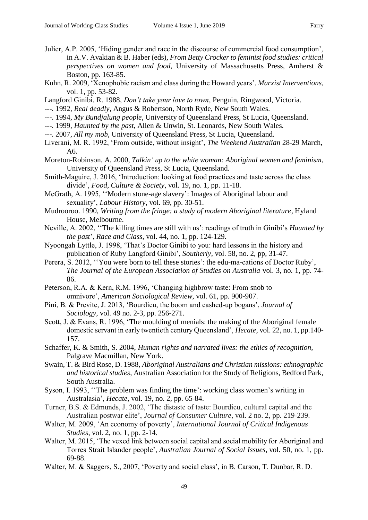- Julier, A.P. 2005, 'Hiding gender and race in the discourse of commercial food consumption', in A.V. Avakian & B. Haber (eds), *From Betty Crocker to feminist food studies: critical perspectives on women and food*, University of Massachusetts Press, Amherst & Boston, pp. 163-85.
- Kuhn, R. 2009, 'Xenophobic racism and class during the Howard years', *Marxist Interventions*, vol. 1, pp. 53-82.
- Langford Ginibi, R. 1988, *Don't take your love to town*, Penguin, Ringwood, Victoria.
- ---. 1992, *Real deadly*, Angus & Robertson, North Ryde, New South Wales.
- ---. 1994, *My Bundjalung people*, University of Queensland Press, St Lucia, Queensland.
- ---. 1999, *Haunted by the past*, Allen & Unwin, St. Leonards, New South Wales.
- ---. 2007, *All my mob*, University of Queensland Press, St Lucia, Queensland.
- Liverani, M. R. 1992, 'From outside, without insight', *The Weekend Australian* 28-29 March, A6.
- Moreton-Robinson, A. 2000, *Talkin' up to the white woman: Aboriginal women and feminism*, University of Queensland Press, St Lucia, Queensland.
- Smith-Maguire, J. 2016, 'Introduction: looking at food practices and taste across the class divide', *Food, Culture & Society*, vol. 19, no. 1, pp. 11-18.
- McGrath, A. 1995, ''Modern stone-age slavery': Images of Aboriginal labour and sexuality', *Labour History*, vol. 69, pp. 30-51.
- Mudrooroo. 1990, *Writing from the fringe: a study of modern Aboriginal literature*, Hyland House, Melbourne.
- Neville, A. 2002, ''The killing times are still with us': readings of truth in Ginibi's *Haunted by the past*', *Race and Class*, vol. 44, no. 1, pp. 124-129.
- Nyoongah Lyttle, J. 1998, 'That's Doctor Ginibi to you: hard lessons in the history and publication of Ruby Langford Ginibi', *Southerly*, vol. 58, no. 2, pp, 31-47.
- Perera, S. 2012, ''You were born to tell these stories': the edu-ma-cations of Doctor Ruby', *The Journal of the European Association of Studies on Australia* vol. 3, no. 1, pp. 74- 86.
- Peterson, R.A. & Kern, R.M. 1996, 'Changing highbrow taste: From snob to omnivore', *American Sociological Review*, vol. 61, pp. 900-907.
- Pini, B. & Previte, J. 2013, 'Bourdieu, the boom and cashed-up bogans', *Journal of Sociology*, vol. 49 no. 2-3, pp. 256-271.
- Scott, J. & Evans, R. 1996, 'The moulding of menials: the making of the Aboriginal female domestic servant in early twentieth century Queensland', *Hecate*, vol. 22, no. 1, pp.140- 157.
- Schaffer, K. & Smith, S. 2004, *Human rights and narrated lives: the ethics of recognition,* Palgrave Macmillan, New York.
- Swain, T. & Bird Rose, D. 1988, *Aboriginal Australians and Christian missions: ethnographic and historical studies*, Australian Association for the Study of Religions, Bedford Park, South Australia.
- Syson, I. 1993, ''The problem was finding the time': working class women's writing in Australasia', *Hecate*, vol. 19, no. 2, pp. 65-84.
- Turner, B.S. & Edmunds, J. 2002, 'The distaste of taste: Bourdieu, cultural capital and the Australian postwar elite', *Journal of Consumer Culture*, vol. 2 no. 2, pp. 219-239.
- Walter, M. 2009, 'An economy of poverty', *International Journal of Critical Indigenous Studies*, vol. 2, no. 1, pp. 2-14.
- Walter, M. 2015, 'The vexed link between social capital and social mobility for Aboriginal and Torres Strait Islander people', *Australian Journal of Social Issues*, vol. 50, no. 1, pp. 69-88.
- Walter, M. & Saggers, S., 2007, 'Poverty and social class', in B. Carson, T. Dunbar, R. D.